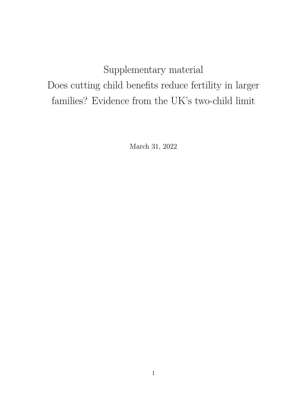## Supplementary material Does cutting child benefits reduce fertility in larger families? Evidence from the UK's two-child limit

March 31, 2022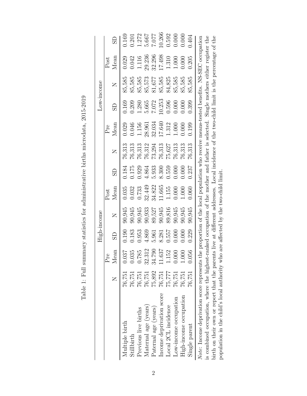|                                                                                                                                       |        |                | High-income |                                     |        |       |        |        |        | Low-income                                                                                     |        |        |
|---------------------------------------------------------------------------------------------------------------------------------------|--------|----------------|-------------|-------------------------------------|--------|-------|--------|--------|--------|------------------------------------------------------------------------------------------------|--------|--------|
|                                                                                                                                       |        | Pre            |             |                                     | Post   |       |        | Pre    |        |                                                                                                | Post   |        |
|                                                                                                                                       |        | Mean           | යි          | Z                                   | Mean   | SD    |        | Mean   | SD     | Z                                                                                              | Mean   |        |
| Multiple birth                                                                                                                        | 76,751 |                | 0.190       | 90,945                              | 0.035  | 0.184 | 76,313 | 0.029  | 0.169  | 85,585                                                                                         | 0.029  | 0.169  |
| Stillbirth                                                                                                                            | 76,751 | 0.037<br>0.035 | 0.183       | 90,945                              | 0.032  | 0.175 | 76,313 | 0.046  | 0.209  | 85,585                                                                                         | 0.042  | 0.201  |
| Previous live births                                                                                                                  | 76,751 | 0.785          | 0.953       | 90,945                              | 0.733  | 0.929 | 76,313 | 1.156  | 1.280  | 85,585                                                                                         | 1.116  | 1.272  |
| Maternal age (years)                                                                                                                  | 76,751 | 32.312         | 4.869       | 90,933                              | 32.449 | 4.864 | 76,312 | 28.961 | 5.665  | 85,573                                                                                         | 29.236 | 5.667  |
| Paternal age (years)                                                                                                                  | 75,892 | 34.790         | 5.961       | 89,527                              | 34.822 | 5.933 | 73,294 | 32.034 | 7.072  | 81,677                                                                                         | 32.296 | 7.077  |
| Income deprivation score                                                                                                              | 76,751 | 11.637         | 8.281       | 90,945                              | 11.665 | 8.300 | 76,313 | 17.640 | 10.253 | 85,585                                                                                         | 17.498 | 10.266 |
| Local 2CL incidence                                                                                                                   | 75,777 |                | 0.557       | 89,816                              | 1.155  | 0.559 | 75,627 | 1.312  | 0.596  | 84,825                                                                                         | 1.310  | 0.592  |
| Low-income occupation                                                                                                                 | 76,751 | 1.152<br>0.000 | 0.000       | 90,945                              | 0.000  | 0.000 | 76,313 | 000    | 0.000  | 85,585                                                                                         | 1.000  | 0.000  |
| High-income occupation                                                                                                                | 76,751 | 1.000          | 0.000       | 90,945                              | 1.000  | 000(  | 76,313 | 000(   | 0.000  | 85,585                                                                                         | 0.000  | 0.000  |
| Single parent                                                                                                                         | 76,751 | 0.056          | 0.229       | 30,945                              | 0.060  | 0.237 | 76,313 | 0.199  | 0.399  | 85,585                                                                                         | 0.205  | 1.404  |
| Note: Income deprivation score represents the proportion of the local population who receive means-tested benefits. NS-SEC occupation |        |                |             |                                     |        |       |        |        |        |                                                                                                |        |        |
| is combined occupation, where the highest-ranked occupation of the mother and father is selected. Single mothers either register the  |        |                |             |                                     |        |       |        |        |        |                                                                                                |        |        |
| birth on their own or report that the parent                                                                                          |        |                |             |                                     |        |       |        |        |        | s live at different addresses. Local incidence of the two-child limit is the percentage of the |        |        |
| population in the child's local authority who                                                                                         |        |                |             | are affected by the two-child limit |        |       |        |        |        |                                                                                                |        |        |

Table 1: Full summary statistics for administrative births microdata, 2015-2019 Table 1: Full summary statistics for administrative births microdata, 2015-2019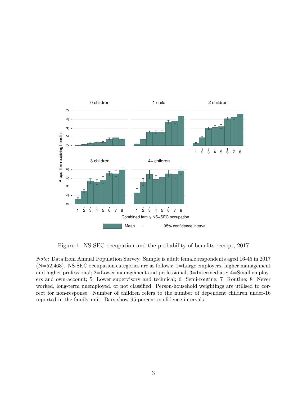

Figure 1: NS-SEC occupation and the probability of benefits receipt, 2017

Note: Data from Annual Population Survey. Sample is adult female respondents aged 16-45 in 2017  $(N=52,463)$ . NS-SEC occupation categories are as follows:  $1=$ Large employers, higher management and higher professional; 2=Lower management and professional; 3=Intermediate; 4=Small employers and own-account; 5=Lower supervisory and technical; 6=Semi-routine; 7=Routine; 8=Never worked, long-term unemployed, or not classified. Person-household weightings are utilised to correct for non-response. Number of children refers to the number of dependent children under-16 reported in the family unit. Bars show 95 percent confidence intervals.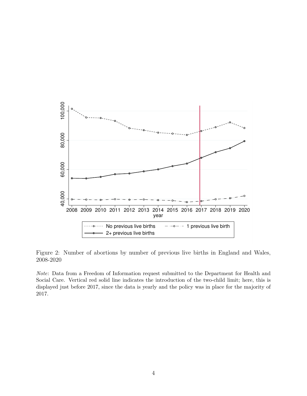

Figure 2: Number of abortions by number of previous live births in England and Wales, 2008-2020

Note: Data from a Freedom of Information request submitted to the Department for Health and Social Care. Vertical red solid line indicates the introduction of the two-child limit; here, this is displayed just before 2017, since the data is yearly and the policy was in place for the majority of 2017.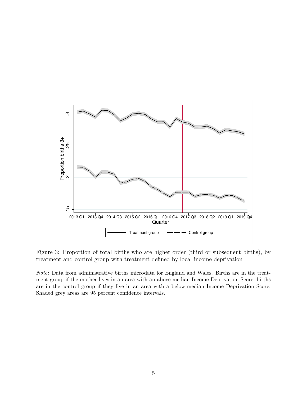

Figure 3: Proportion of total births who are higher order (third or subsequent births), by treatment and control group with treatment defined by local income deprivation

Note: Data from administrative births microdata for England and Wales. Births are in the treatment group if the mother lives in an area with an above-median Income Deprivation Score; births are in the control group if they live in an area with a below-median Income Deprivation Score. Shaded grey areas are 95 percent confidence intervals.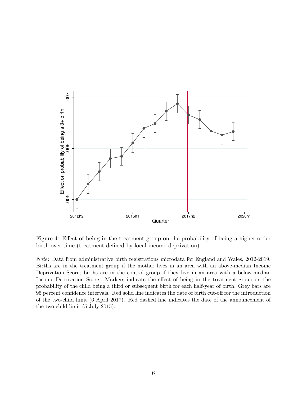

Figure 4: Effect of being in the treatment group on the probability of being a higher-order birth over time (treatment defined by local income deprivation)

Note: Data from administrative birth registrations microdata for England and Wales, 2012-2019. Births are in the treatment group if the mother lives in an area with an above-median Income Deprivation Score; births are in the control group if they live in an area with a below-median Income Deprivation Score. Markers indicate the effect of being in the treatment group on the probability of the child being a third or subsequent birth for each half-year of birth. Grey bars are 95 percent confidence intervals. Red solid line indicates the date of birth cut-off for the introduction of the two-child limit (6 April 2017). Red dashed line indicates the date of the announcement of the two-child limit (5 July 2015).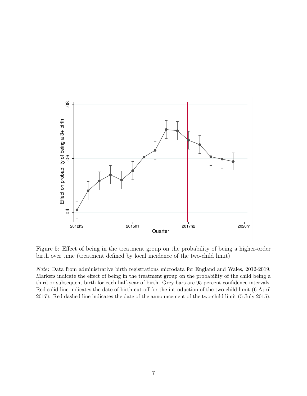

Figure 5: Effect of being in the treatment group on the probability of being a higher-order birth over time (treatment defined by local incidence of the two-child limit)

Note: Data from administrative birth registrations microdata for England and Wales, 2012-2019. Markers indicate the effect of being in the treatment group on the probability of the child being a third or subsequent birth for each half-year of birth. Grey bars are 95 percent confidence intervals. Red solid line indicates the date of birth cut-off for the introduction of the two-child limit (6 April 2017). Red dashed line indicates the date of the announcement of the two-child limit (5 July 2015).